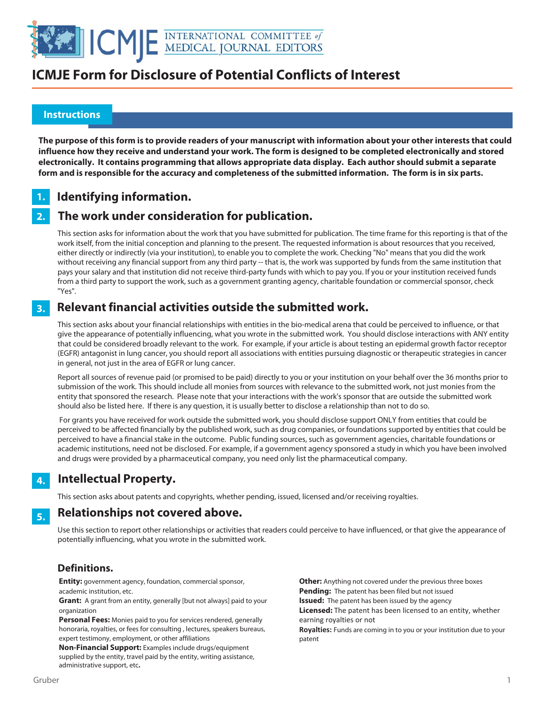

### **Instructions**

 

> **The purpose of this form is to provide readers of your manuscript with information about your other interests that could influence how they receive and understand your work. The form is designed to be completed electronically and stored electronically. It contains programming that allows appropriate data display. Each author should submit a separate form and is responsible for the accuracy and completeness of the submitted information. The form is in six parts.**

### **Identifying information. 1.**

### **The work under consideration for publication. 2.**

This section asks for information about the work that you have submitted for publication. The time frame for this reporting is that of the work itself, from the initial conception and planning to the present. The requested information is about resources that you received, either directly or indirectly (via your institution), to enable you to complete the work. Checking "No" means that you did the work without receiving any financial support from any third party -- that is, the work was supported by funds from the same institution that pays your salary and that institution did not receive third-party funds with which to pay you. If you or your institution received funds from a third party to support the work, such as a government granting agency, charitable foundation or commercial sponsor, check "Yes".

### **Relevant financial activities outside the submitted work. 3.**

This section asks about your financial relationships with entities in the bio-medical arena that could be perceived to influence, or that give the appearance of potentially influencing, what you wrote in the submitted work. You should disclose interactions with ANY entity that could be considered broadly relevant to the work. For example, if your article is about testing an epidermal growth factor receptor (EGFR) antagonist in lung cancer, you should report all associations with entities pursuing diagnostic or therapeutic strategies in cancer in general, not just in the area of EGFR or lung cancer.

Report all sources of revenue paid (or promised to be paid) directly to you or your institution on your behalf over the 36 months prior to submission of the work. This should include all monies from sources with relevance to the submitted work, not just monies from the entity that sponsored the research. Please note that your interactions with the work's sponsor that are outside the submitted work should also be listed here. If there is any question, it is usually better to disclose a relationship than not to do so.

 For grants you have received for work outside the submitted work, you should disclose support ONLY from entities that could be perceived to be affected financially by the published work, such as drug companies, or foundations supported by entities that could be perceived to have a financial stake in the outcome. Public funding sources, such as government agencies, charitable foundations or academic institutions, need not be disclosed. For example, if a government agency sponsored a study in which you have been involved and drugs were provided by a pharmaceutical company, you need only list the pharmaceutical company.

### **Intellectual Property. 4.**

This section asks about patents and copyrights, whether pending, issued, licensed and/or receiving royalties.

### **Relationships not covered above. 5.**

Use this section to report other relationships or activities that readers could perceive to have influenced, or that give the appearance of potentially influencing, what you wrote in the submitted work.

### **Definitions.**

**Entity:** government agency, foundation, commercial sponsor, academic institution, etc.

**Grant:** A grant from an entity, generally [but not always] paid to your organization

**Personal Fees:** Monies paid to you for services rendered, generally honoraria, royalties, or fees for consulting , lectures, speakers bureaus, expert testimony, employment, or other affiliations

**Non-Financial Support:** Examples include drugs/equipment supplied by the entity, travel paid by the entity, writing assistance, administrative support, etc**.**

**Other:** Anything not covered under the previous three boxes **Pending:** The patent has been filed but not issued **Issued:** The patent has been issued by the agency **Licensed:** The patent has been licensed to an entity, whether earning royalties or not

**Royalties:** Funds are coming in to you or your institution due to your patent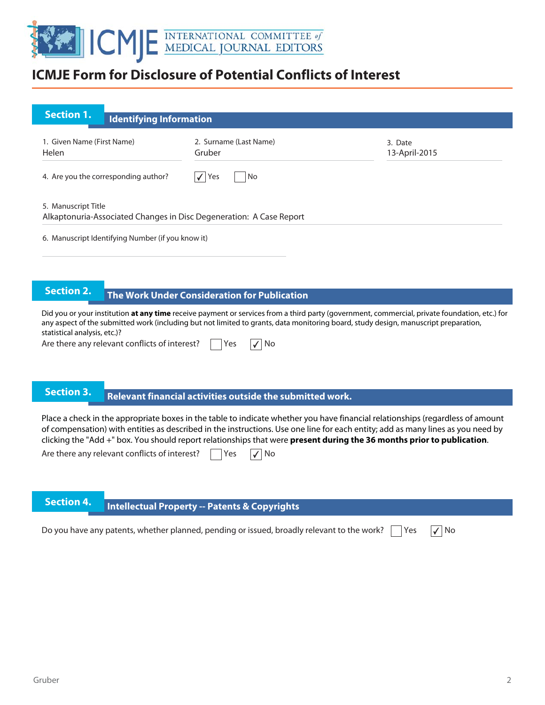

| <b>Section 1.</b><br><b>Identifying Information</b>                                        |                                  |                          |
|--------------------------------------------------------------------------------------------|----------------------------------|--------------------------|
| 1. Given Name (First Name)<br>Helen                                                        | 2. Surname (Last Name)<br>Gruber | 3. Date<br>13-April-2015 |
| 4. Are you the corresponding author?                                                       | Yes<br>No                        |                          |
| 5. Manuscript Title<br>Alkaptonuria-Associated Changes in Disc Degeneration: A Case Report |                                  |                          |
| 6. Manuscript Identifying Number (if you know it)                                          |                                  |                          |

## **The Work Under Consideration for Publication**

Did you or your institution **at any time** receive payment or services from a third party (government, commercial, private foundation, etc.) for any aspect of the submitted work (including but not limited to grants, data monitoring board, study design, manuscript preparation, statistical analysis, etc.)?

Are there any relevant conflicts of interest?  $\Box$  Yes  $\Box$  No

# **Rection 3.** Relevant financial activities outside the submitted work.

Place a check in the appropriate boxes in the table to indicate whether you have financial relationships (regardless of amount of compensation) with entities as described in the instructions. Use one line for each entity; add as many lines as you need by clicking the "Add +" box. You should report relationships that were **present during the 36 months prior to publication**.

Are there any relevant conflicts of interest?  $\Box$  Yes  $\Box$  No

## **Intellectual Property -- Patents & Copyrights**

Do you have any patents, whether planned, pending or issued, broadly relevant to the work?  $\vert \ \vert$  Yes  $\vert \sqrt{\vert N}$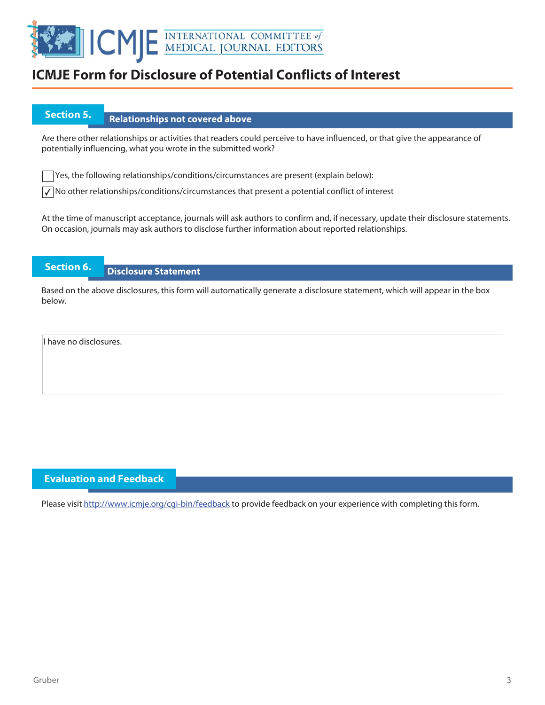

## **Section 5.** Relationships not covered above

Are there other relationships or activities that readers could perceive to have influenced, or that give the appearance of potentially influencing, what you wrote in the submitted work?

Yes, the following relationships/conditions/circumstances are present (explain below):

 $\sqrt{\ }$  No other relationships/conditions/circumstances that present a potential conflict of interest

At the time of manuscript acceptance, journals will ask authors to confirm and, if necessary, update their disclosure statements. On occasion, journals may ask authors to disclose further information about reported relationships.

## **Section 6. Disclosure Statement**

Based on the above disclosures, this form will automatically generate a disclosure statement, which will appear in the box below.

I have no disclosures.

### **Evaluation and Feedback**

Please visit http://www.icmje.org/cgi-bin/feedback to provide feedback on your experience with completing this form.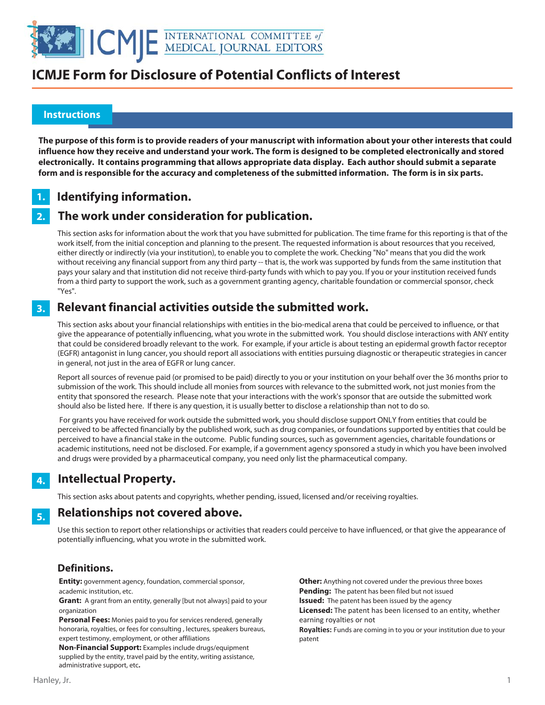

### **Instructions**

 

> **The purpose of this form is to provide readers of your manuscript with information about your other interests that could influence how they receive and understand your work. The form is designed to be completed electronically and stored electronically. It contains programming that allows appropriate data display. Each author should submit a separate form and is responsible for the accuracy and completeness of the submitted information. The form is in six parts.**

### **Identifying information. 1.**

### **The work under consideration for publication. 2.**

This section asks for information about the work that you have submitted for publication. The time frame for this reporting is that of the work itself, from the initial conception and planning to the present. The requested information is about resources that you received, either directly or indirectly (via your institution), to enable you to complete the work. Checking "No" means that you did the work without receiving any financial support from any third party -- that is, the work was supported by funds from the same institution that pays your salary and that institution did not receive third-party funds with which to pay you. If you or your institution received funds from a third party to support the work, such as a government granting agency, charitable foundation or commercial sponsor, check "Yes".

### **Relevant financial activities outside the submitted work. 3.**

This section asks about your financial relationships with entities in the bio-medical arena that could be perceived to influence, or that give the appearance of potentially influencing, what you wrote in the submitted work. You should disclose interactions with ANY entity that could be considered broadly relevant to the work. For example, if your article is about testing an epidermal growth factor receptor (EGFR) antagonist in lung cancer, you should report all associations with entities pursuing diagnostic or therapeutic strategies in cancer in general, not just in the area of EGFR or lung cancer.

Report all sources of revenue paid (or promised to be paid) directly to you or your institution on your behalf over the 36 months prior to submission of the work. This should include all monies from sources with relevance to the submitted work, not just monies from the entity that sponsored the research. Please note that your interactions with the work's sponsor that are outside the submitted work should also be listed here. If there is any question, it is usually better to disclose a relationship than not to do so.

 For grants you have received for work outside the submitted work, you should disclose support ONLY from entities that could be perceived to be affected financially by the published work, such as drug companies, or foundations supported by entities that could be perceived to have a financial stake in the outcome. Public funding sources, such as government agencies, charitable foundations or academic institutions, need not be disclosed. For example, if a government agency sponsored a study in which you have been involved and drugs were provided by a pharmaceutical company, you need only list the pharmaceutical company.

### **Intellectual Property. 4.**

This section asks about patents and copyrights, whether pending, issued, licensed and/or receiving royalties.

### **Relationships not covered above. 5.**

Use this section to report other relationships or activities that readers could perceive to have influenced, or that give the appearance of potentially influencing, what you wrote in the submitted work.

### **Definitions.**

**Entity:** government agency, foundation, commercial sponsor, academic institution, etc.

**Grant:** A grant from an entity, generally [but not always] paid to your organization

**Personal Fees:** Monies paid to you for services rendered, generally honoraria, royalties, or fees for consulting , lectures, speakers bureaus, expert testimony, employment, or other affiliations

**Non-Financial Support:** Examples include drugs/equipment supplied by the entity, travel paid by the entity, writing assistance, administrative support, etc**.**

**Other:** Anything not covered under the previous three boxes **Pending:** The patent has been filed but not issued **Issued:** The patent has been issued by the agency **Licensed:** The patent has been licensed to an entity, whether earning royalties or not

**Royalties:** Funds are coming in to you or your institution due to your patent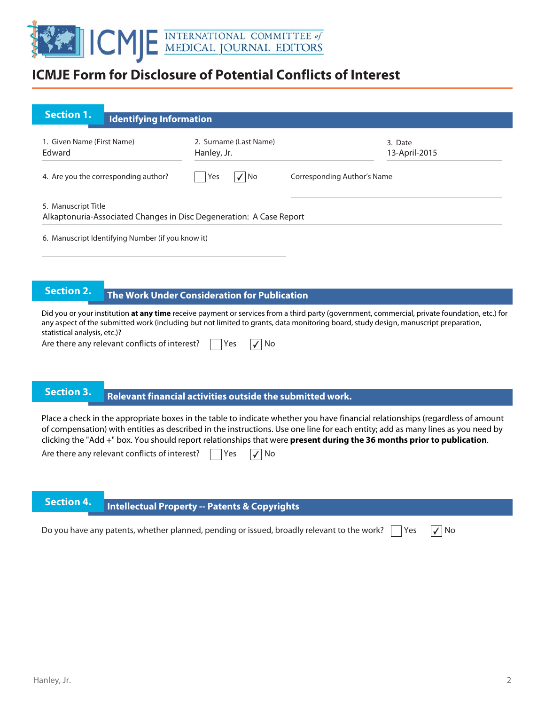

| <b>Section 1.</b>                    |                                                   |                                                                     |                                                                                                                                               |
|--------------------------------------|---------------------------------------------------|---------------------------------------------------------------------|-----------------------------------------------------------------------------------------------------------------------------------------------|
|                                      | <b>Identifying Information</b>                    |                                                                     |                                                                                                                                               |
| 1. Given Name (First Name)<br>Edward |                                                   | 2. Surname (Last Name)<br>Hanley, Jr.                               | 3. Date<br>13-April-2015                                                                                                                      |
|                                      | 4. Are you the corresponding author?              | $\sqrt{ NQ}$<br>Yes                                                 | Corresponding Author's Name                                                                                                                   |
| 5. Manuscript Title                  |                                                   | Alkaptonuria-Associated Changes in Disc Degeneration: A Case Report |                                                                                                                                               |
|                                      | 6. Manuscript Identifying Number (if you know it) |                                                                     |                                                                                                                                               |
|                                      |                                                   |                                                                     |                                                                                                                                               |
| <b>Section 2.</b>                    |                                                   | The Work Under Consideration for Publication                        |                                                                                                                                               |
|                                      |                                                   |                                                                     | Did you or your institution at any time receive payment or services from a third party (government, commercial, private foundation, etc.) for |

any aspect of the submitted work (including but not limited to grants, data monitoring board, study design, manuscript preparation, statistical analysis, etc.)?

| Are there any relevant conflicts of interest? |  | <b>Yes</b> |  | $\sqrt{}$ No |
|-----------------------------------------------|--|------------|--|--------------|
|-----------------------------------------------|--|------------|--|--------------|

# **Relevant financial activities outside the submitted work. Section 3. Relevant financial activities outset**

Place a check in the appropriate boxes in the table to indicate whether you have financial relationships (regardless of amount of compensation) with entities as described in the instructions. Use one line for each entity; add as many lines as you need by clicking the "Add +" box. You should report relationships that were **present during the 36 months prior to publication**.

|  | Are there any relevant conflicts of interest? |  | Yes |  | $\sqrt{}$ No |
|--|-----------------------------------------------|--|-----|--|--------------|
|--|-----------------------------------------------|--|-----|--|--------------|

# **Intellectual Property -- Patents & Copyrights**

Do you have any patents, whether planned, pending or issued, broadly relevant to the work?  $\vert \ \vert$  Yes  $\vert \sqrt{\vert N}$